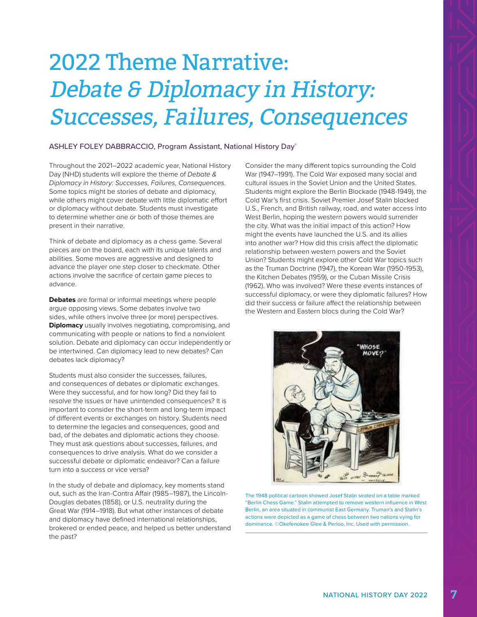## 2022 Theme Narrative: Debate & Diplomacy in History: Successes, Failures, Consequences

## ASHLEY FOLEY DABBRACCIO, Program Assistant, National History Day®

Throughout the 2021–2022 academic year, National History Day (NHD) students will explore the theme of *Debate & Diplomacy in History: Successes, Failures, Consequences*. Some topics might be stories of debate and diplomacy, while others might cover debate with little diplomatic effort or diplomacy without debate. Students must investigate to determine whether one or both of those themes are present in their narrative.

Think of debate and diplomacy as a chess game. Several pieces are on the board, each with its unique talents and abilities. Some moves are aggressive and designed to advance the player one step closer to checkmate. Other actions involve the sacrifce of certain game pieces to advance.

**Debates** are formal or informal meetings where people argue opposing views. Some debates involve two sides, while others involve three (or more) perspectives. **Diplomacy** usually involves negotiating, compromising, and communicating with people or nations to find a nonviolent solution. Debate and diplomacy can occur independently or be intertwined. Can diplomacy lead to new debates? Can debates lack diplomacy?

Students must also consider the successes, failures, and consequences of debates or diplomatic exchanges. Were they successful, and for how long? Did they fail to resolve the issues or have unintended consequences? It is important to consider the short-term and long-term impact of diferent events or exchanges on history. Students need to determine the legacies and consequences, good and bad, of the debates and diplomatic actions they choose. They must ask questions about successes, failures, and consequences to drive analysis. What do we consider a successful debate or diplomatic endeavor? Can a failure turn into a success or vice versa?

In the study of debate and diplomacy, key moments stand out, such as the Iran-Contra Afair (1985–1987), the Lincoln-Douglas debates (1858), or U.S. neutrality during the Great War (1914–1918). But what other instances of debate and diplomacy have defned international relationships, brokered or ended peace, and helped us better understand the past?

Consider the many diferent topics surrounding the Cold War (1947–1991). The Cold War exposed many social and cultural issues in the Soviet Union and the United States. Students might explore the Berlin Blockade (1948-1949), the Cold War's frst crisis. Soviet Premier Josef Stalin blocked U.S., French, and British railway, road, and water access into West Berlin, hoping the western powers would surrender the city. What was the initial impact of this action? How might the events have launched the U.S. and its allies into another war? How did this crisis afect the diplomatic relationship between western powers and the Soviet Union? Students might explore other Cold War topics such as the Truman Doctrine (1947), the Korean War (1950-1953), the Kitchen Debates (1959), or the Cuban Missile Crisis (1962). Who was involved? Were these events instances of successful diplomacy, or were they diplomatic failures? How did their success or failure afect the relationship between the Western and Eastern blocs during the Cold War?



The 1948 political cartoon showed Josef Stalin seated on a table marked "Berlin Chess Game." Stalin attempted to remove western infuence in West Berlin, an area situated in communist East Germany. Truman's and Stalin's actions were depicted as a game of chess between two nations vying for dominance. ©Okefenokee Glee & Perloo, Inc. Used with permission.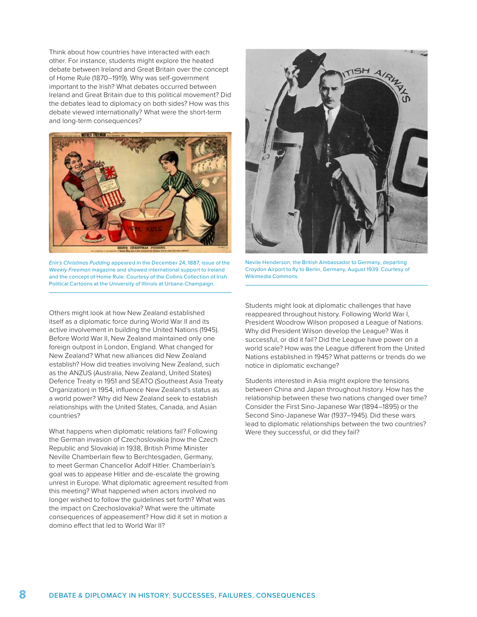Think about how countries have interacted with each other. For instance, students might explore the heated debate between Ireland and Great Britain over the concept of Home Rule (1870–1919). Why was self-government important to the Irish? What debates occurred between Ireland and Great Britain due to this political movement? Did the debates lead to diplomacy on both sides? How was this debate viewed internationally? What were the short-term and long-term consequences?



*Erin's Christmas Pudding* appeared in the December 24, 1887, issue of the *Weekly Freeman* magazine and showed international support to Ireland and the concept of Home Rule. Courtesy of the Collins Collection of Irish Political Cartoons at the University of Illinois at Urbana-Champaign.

Others might look at how New Zealand established itself as a diplomatic force during World War II and its active involvement in building the United Nations (1945). Before World War II, New Zealand maintained only one foreign outpost in London, England. What changed for New Zealand? What new alliances did New Zealand establish? How did treaties involving New Zealand, such as the ANZUS (Australia, New Zealand, United States) Defence Treaty in 1951 and SEATO (Southeast Asia Treaty Organization) in 1954, infuence New Zealand's status as a world power? Why did New Zealand seek to establish relationships with the United States, Canada, and Asian countries?

What happens when diplomatic relations fail? Following the German invasion of Czechoslovakia (now the Czech Republic and Slovakia) in 1938, British Prime Minister Neville Chamberlain flew to Berchtesgaden, Germany, to meet German Chancellor Adolf Hitler. Chamberlain's goal was to appease Hitler and de-escalate the growing unrest in Europe. What diplomatic agreement resulted from this meeting? What happened when actors involved no longer wished to follow the guidelines set forth? What was the impact on Czechoslovakia? What were the ultimate consequences of appeasement? How did it set in motion a domino efect that led to World War II?



Nevile Henderson, the British Ambassador to Germany, departing Croydon Airport to fy to Berlin, Germany, August 1939. Courtesy of Wikimedia Commons.

Students might look at diplomatic challenges that have reappeared throughout history. Following World War I, President Woodrow Wilson proposed a League of Nations. Why did President Wilson develop the League? Was it successful, or did it fail? Did the League have power on a world scale? How was the League diferent from the United Nations established in 1945? What patterns or trends do we notice in diplomatic exchange?

Students interested in Asia might explore the tensions between China and Japan throughout history. How has the relationship between these two nations changed over time? Consider the First Sino-Japanese War (1894–1895) or the Second Sino-Japanese War (1937–1945). Did these wars lead to diplomatic relationships between the two countries? Were they successful, or did they fail?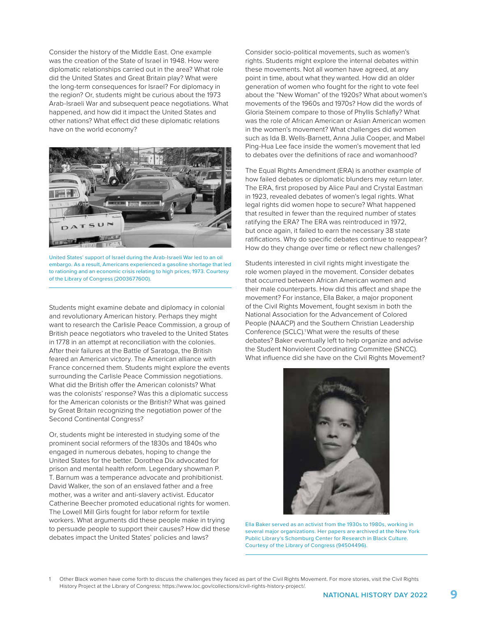Consider the history of the Middle East. One example was the creation of the State of Israel in 1948. How were diplomatic relationships carried out in the area? What role did the United States and Great Britain play? What were the long-term consequences for Israel? For diplomacy in the region? Or, students might be curious about the 1973 Arab-Israeli War and subsequent peace negotiations. What happened, and how did it impact the United States and other nations? What efect did these diplomatic relations have on the world economy?



United States' support of Israel during the Arab-Israeli War led to an oil embargo. As a result, Americans experienced a gasoline shortage that led to rationing and an economic crisis relating to high prices, 1973. Courtesy of the Library of Congress (2003677600).

Students might examine debate and diplomacy in colonial and revolutionary American history. Perhaps they might want to research the Carlisle Peace Commission, a group of British peace negotiators who traveled to the United States in 1778 in an attempt at reconciliation with the colonies. After their failures at the Battle of Saratoga, the British feared an American victory. The American alliance with France concerned them. Students might explore the events surrounding the Carlisle Peace Commission negotiations. What did the British offer the American colonists? What was the colonists' response? Was this a diplomatic success for the American colonists or the British? What was gained by Great Britain recognizing the negotiation power of the Second Continental Congress?

Or, students might be interested in studying some of the prominent social reformers of the 1830s and 1840s who engaged in numerous debates, hoping to change the United States for the better. Dorothea Dix advocated for prison and mental health reform. Legendary showman P. T. Barnum was a temperance advocate and prohibitionist. David Walker, the son of an enslaved father and a free mother, was a writer and anti-slavery activist. Educator Catherine Beecher promoted educational rights for women. The Lowell Mill Girls fought for labor reform for textile workers. What arguments did these people make in trying to persuade people to support their causes? How did these debates impact the United States' policies and laws?

Consider socio-political movements, such as women's rights. Students might explore the internal debates within these movements. Not all women have agreed, at any point in time, about what they wanted. How did an older generation of women who fought for the right to vote feel about the "New Woman" of the 1920s? What about women's movements of the 1960s and 1970s? How did the words of Gloria Steinem compare to those of Phyllis Schlafy? What was the role of African American or Asian American women in the women's movement? What challenges did women such as Ida B. Wells-Barnett, Anna Julia Cooper, and Mabel Ping-Hua Lee face inside the women's movement that led to debates over the definitions of race and womanhood?

The Equal Rights Amendment (ERA) is another example of how failed debates or diplomatic blunders may return later. The ERA, first proposed by Alice Paul and Crystal Eastman in 1923, revealed debates of women's legal rights. What legal rights did women hope to secure? What happened that resulted in fewer than the required number of states ratifying the ERA? The ERA was reintroduced in 1972, but once again, it failed to earn the necessary 38 state ratifications. Why do specific debates continue to reappear? How do they change over time or refect new challenges?

Students interested in civil rights might investigate the role women played in the movement. Consider debates that occurred between African American women and their male counterparts. How did this afect and shape the movement? For instance, Ella Baker, a major proponent of the Civil Rights Movement, fought sexism in both the National Association for the Advancement of Colored People (NAACP) and the Southern Christian Leadership Conference (SCLC).<sup>1</sup> What were the results of these debates? Baker eventually left to help organize and advise the Student Nonviolent Coordinating Committee (SNCC). What infuence did she have on the Civil Rights Movement?



Ella Baker served as an activist from the 1930s to 1980s, working in several major organizations. Her papers are archived at the New York Public Library's Schomburg Center for Research in Black Culture. Courtesy of the Library of Congress (94504496).

1 Other Black women have come forth to discuss the challenges they faced as part of the Civil Rights Movement. For more stories, visit the Civil Rights History Project at the Library of Congress: <https://www.loc.gov/collections/civil-rights-history-project/>.